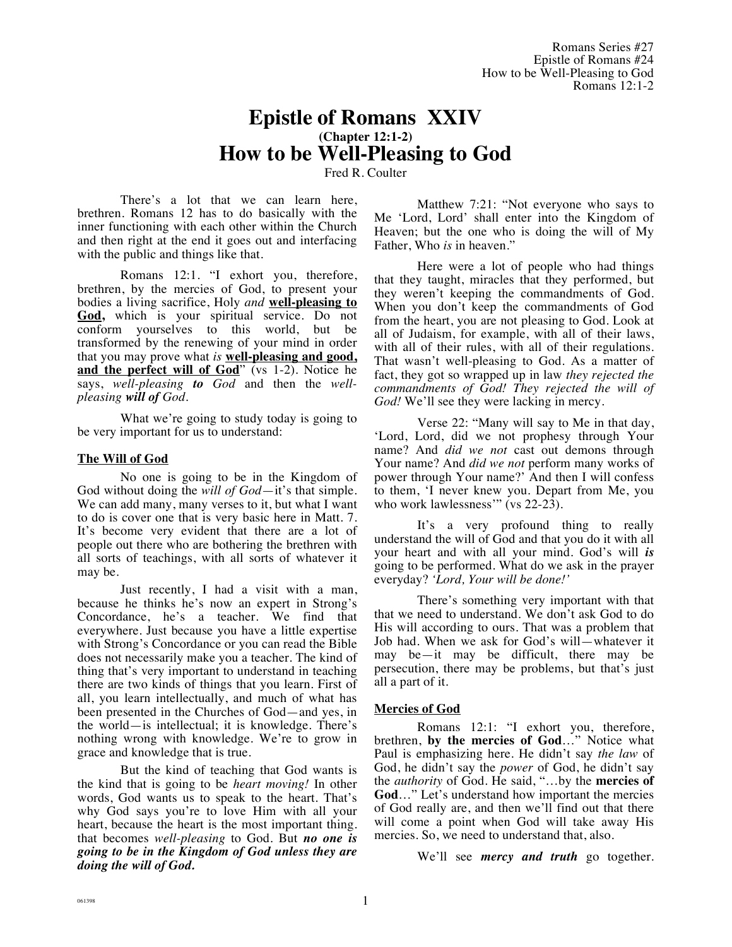# **Epistle of Romans XXIV (Chapter 12:1-2) How to be Well-Pleasing to God**

Fred R. Coulter

There's a lot that we can learn here, brethren. Romans 12 has to do basically with the inner functioning with each other within the Church and then right at the end it goes out and interfacing with the public and things like that.

Romans 12:1. "I exhort you, therefore, brethren, by the mercies of God, to present your bodies a living sacrifice, Holy *and* **well-pleasing to God,** which is your spiritual service. Do not conform yourselves to this world, but be transformed by the renewing of your mind in order that you may prove what *is* **well-pleasing and good, and the perfect will of God**" (vs 1-2). Notice he says, *well-pleasing to God* and then the *wellpleasing will of God.*

What we're going to study today is going to be very important for us to understand:

# **The Will of God**

No one is going to be in the Kingdom of God without doing the *will of God*—it's that simple. We can add many, many verses to it, but what I want to do is cover one that is very basic here in Matt. 7. It's become very evident that there are a lot of people out there who are bothering the brethren with all sorts of teachings, with all sorts of whatever it may be.

Just recently, I had a visit with a man, because he thinks he's now an expert in Strong's Concordance, he's a teacher. We find that everywhere. Just because you have a little expertise with Strong's Concordance or you can read the Bible does not necessarily make you a teacher. The kind of thing that's very important to understand in teaching there are two kinds of things that you learn. First of all, you learn intellectually, and much of what has been presented in the Churches of God—and yes, in the world—is intellectual; it is knowledge. There's nothing wrong with knowledge. We're to grow in grace and knowledge that is true.

But the kind of teaching that God wants is the kind that is going to be *heart moving!* In other words, God wants us to speak to the heart. That's why God says you're to love Him with all your heart, because the heart is the most important thing. that becomes *well-pleasing* to God. But *no one is going to be in the Kingdom of God unless they are doing the will of God.* 

Matthew 7:21: "Not everyone who says to Me 'Lord, Lord' shall enter into the Kingdom of Heaven; but the one who is doing the will of My Father, Who *is* in heaven."

Here were a lot of people who had things that they taught, miracles that they performed, but they weren't keeping the commandments of God. When you don't keep the commandments of God from the heart, you are not pleasing to God. Look at all of Judaism, for example, with all of their laws, with all of their rules, with all of their regulations. That wasn't well-pleasing to God. As a matter of fact, they got so wrapped up in law *they rejected the commandments of God! They rejected the will of God!* We'll see they were lacking in mercy.

Verse 22: "Many will say to Me in that day, 'Lord, Lord, did we not prophesy through Your name? And *did we not* cast out demons through Your name? And *did we not* perform many works of power through Your name?' And then I will confess to them, 'I never knew you. Depart from Me, you who work lawlessness" (vs 22-23).

It's a very profound thing to really understand the will of God and that you do it with all your heart and with all your mind. God's will *is* going to be performed. What do we ask in the prayer everyday? *'Lord, Your will be done!'*

There's something very important with that that we need to understand. We don't ask God to do His will according to ours. That was a problem that Job had. When we ask for God's will—whatever it may be—it may be difficult, there may be persecution, there may be problems, but that's just all a part of it.

# **Mercies of God**

Romans 12:1: "I exhort you, therefore, brethren, **by the mercies of God**…" Notice what Paul is emphasizing here. He didn't say *the law* of God, he didn't say the *power* of God, he didn't say the *authority* of God. He said, "…by the **mercies of God**…" Let's understand how important the mercies of God really are, and then we'll find out that there will come a point when God will take away His mercies. So, we need to understand that, also.

We'll see *mercy and truth* go together.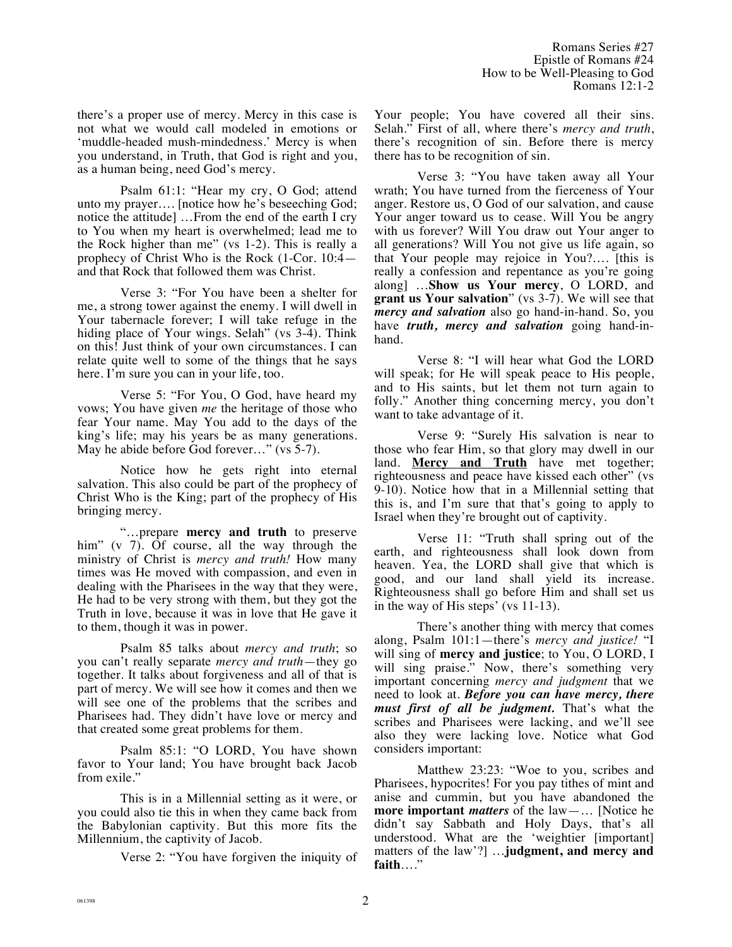there's a proper use of mercy. Mercy in this case is not what we would call modeled in emotions or 'muddle-headed mush-mindedness.' Mercy is when you understand, in Truth, that God is right and you, as a human being, need God's mercy.

Psalm 61:1: "Hear my cry, O God; attend unto my prayer…. [notice how he's beseeching God; notice the attitude] …From the end of the earth I cry to You when my heart is overwhelmed; lead me to the Rock higher than me" (vs 1-2). This is really a prophecy of Christ Who is the Rock (1-Cor. 10:4 and that Rock that followed them was Christ.

Verse 3: "For You have been a shelter for me, a strong tower against the enemy. I will dwell in Your tabernacle forever; I will take refuge in the hiding place of Your wings. Selah" (vs 3-4). Think on this! Just think of your own circumstances. I can relate quite well to some of the things that he says here. I'm sure you can in your life, too.

Verse 5: "For You, O God, have heard my vows; You have given *me* the heritage of those who fear Your name. May You add to the days of the king's life; may his years be as many generations. May he abide before God forever…" (vs 5-7).

Notice how he gets right into eternal salvation. This also could be part of the prophecy of Christ Who is the King; part of the prophecy of His bringing mercy.

"…prepare **mercy and truth** to preserve him" (v 7). Of course, all the way through the ministry of Christ is *mercy and truth!* How many times was He moved with compassion, and even in dealing with the Pharisees in the way that they were, He had to be very strong with them, but they got the Truth in love, because it was in love that He gave it to them, though it was in power.

Psalm 85 talks about *mercy and truth*; so you can't really separate *mercy and truth*—they go together. It talks about forgiveness and all of that is part of mercy. We will see how it comes and then we will see one of the problems that the scribes and Pharisees had. They didn't have love or mercy and that created some great problems for them.

Psalm 85:1: "O LORD, You have shown favor to Your land; You have brought back Jacob from exile."

This is in a Millennial setting as it were, or you could also tie this in when they came back from the Babylonian captivity. But this more fits the Millennium, the captivity of Jacob.

Verse 2: "You have forgiven the iniquity of

Your people; You have covered all their sins. Selah." First of all, where there's *mercy and truth*, there's recognition of sin. Before there is mercy there has to be recognition of sin.

Verse 3: "You have taken away all Your wrath; You have turned from the fierceness of Your anger. Restore us, O God of our salvation, and cause Your anger toward us to cease. Will You be angry with us forever? Will You draw out Your anger to all generations? Will You not give us life again, so that Your people may rejoice in You?…. [this is really a confession and repentance as you're going along] …**Show us Your mercy**, O LORD, and **grant us Your salvation**" (vs 3-7). We will see that *mercy and salvation* also go hand-in-hand. So, you have *truth, mercy and salvation* going hand-inhand.

Verse 8: "I will hear what God the LORD will speak; for He will speak peace to His people, and to His saints, but let them not turn again to folly." Another thing concerning mercy, you don't want to take advantage of it.

Verse 9: "Surely His salvation is near to those who fear Him, so that glory may dwell in our land. **Mercy and Truth** have met together; righteousness and peace have kissed each other" (vs 9-10). Notice how that in a Millennial setting that this is, and I'm sure that that's going to apply to Israel when they're brought out of captivity.

Verse 11: "Truth shall spring out of the earth, and righteousness shall look down from heaven. Yea, the LORD shall give that which is good, and our land shall yield its increase. Righteousness shall go before Him and shall set us in the way of His steps' (vs 11-13).

There's another thing with mercy that comes along, Psalm 101:1—there's *mercy and justice!* "I will sing of **mercy and justice**; to You, O LORD, I will sing praise." Now, there's something very important concerning *mercy and judgment* that we need to look at. *Before you can have mercy, there must first of all be judgment.* That's what the scribes and Pharisees were lacking, and we'll see also they were lacking love. Notice what God considers important:

Matthew 23:23: "Woe to you, scribes and Pharisees, hypocrites! For you pay tithes of mint and anise and cummin, but you have abandoned the **more important** *matters* of the law—… [Notice he didn't say Sabbath and Holy Days, that's all understood. What are the 'weightier [important] matters of the law'?] …**judgment, and mercy and faith**…."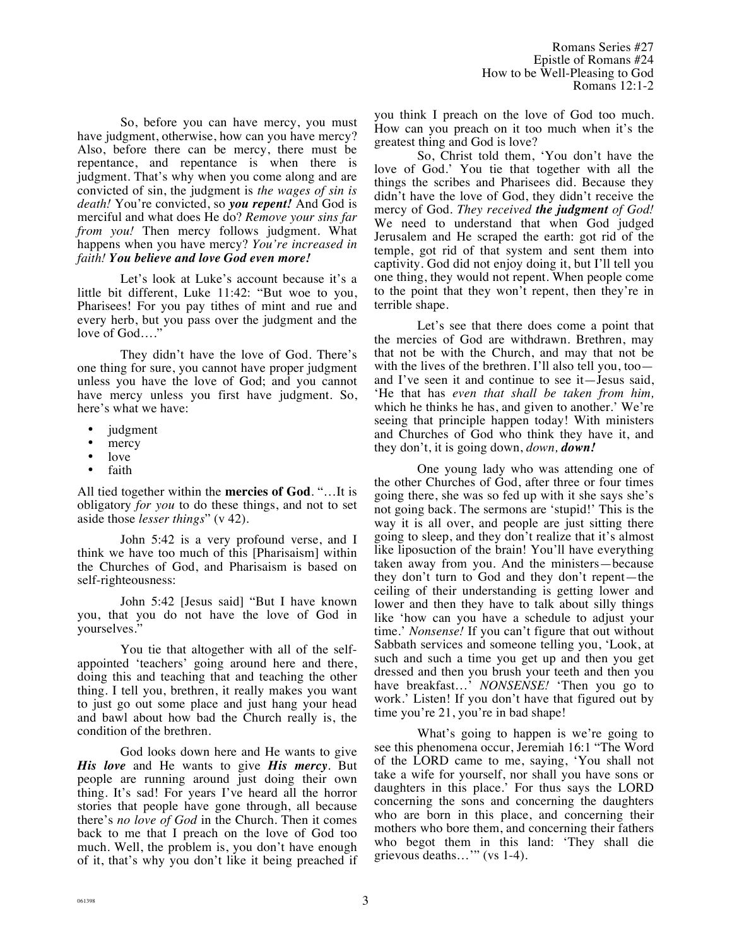So, before you can have mercy, you must have judgment, otherwise, how can you have mercy? Also, before there can be mercy, there must be repentance, and repentance is when there is judgment. That's why when you come along and are convicted of sin, the judgment is *the wages of sin is death!* You're convicted, so *you repent!* And God is merciful and what does He do? *Remove your sins far from you!* Then mercy follows judgment. What happens when you have mercy? *You're increased in faith! You believe and love God even more!*

Let's look at Luke's account because it's a little bit different, Luke 11:42: "But woe to you, Pharisees! For you pay tithes of mint and rue and every herb, but you pass over the judgment and the love of God…."

They didn't have the love of God. There's one thing for sure, you cannot have proper judgment unless you have the love of God; and you cannot have mercy unless you first have judgment. So, here's what we have:

- judgment
- mercy
- love<br>• faith
- faith

All tied together within the **mercies of God**. "…It is obligatory *for you* to do these things, and not to set aside those *lesser things*" (v 42).

John 5:42 is a very profound verse, and I think we have too much of this [Pharisaism] within the Churches of God, and Pharisaism is based on self-righteousness:

John 5:42 [Jesus said] "But I have known you, that you do not have the love of God in yourselves."

You tie that altogether with all of the selfappointed 'teachers' going around here and there, doing this and teaching that and teaching the other thing. I tell you, brethren, it really makes you want to just go out some place and just hang your head and bawl about how bad the Church really is, the condition of the brethren.

God looks down here and He wants to give *His love* and He wants to give *His mercy*. But people are running around just doing their own thing. It's sad! For years I've heard all the horror stories that people have gone through, all because there's *no love of God* in the Church. Then it comes back to me that I preach on the love of God too much. Well, the problem is, you don't have enough of it, that's why you don't like it being preached if you think I preach on the love of God too much. How can you preach on it too much when it's the greatest thing and God is love?

So, Christ told them, 'You don't have the love of God.' You tie that together with all the things the scribes and Pharisees did. Because they didn't have the love of God, they didn't receive the mercy of God. *They received the judgment of God!*  We need to understand that when God judged Jerusalem and He scraped the earth: got rid of the temple, got rid of that system and sent them into captivity. God did not enjoy doing it, but I'll tell you one thing, they would not repent. When people come to the point that they won't repent, then they're in terrible shape.

Let's see that there does come a point that the mercies of God are withdrawn. Brethren, may that not be with the Church, and may that not be with the lives of the brethren. I'll also tell you, too and I've seen it and continue to see it—Jesus said, 'He that has *even that shall be taken from him,* which he thinks he has, and given to another.' We're seeing that principle happen today! With ministers and Churches of God who think they have it, and they don't, it is going down, *down, down!*

One young lady who was attending one of the other Churches of God, after three or four times going there, she was so fed up with it she says she's not going back. The sermons are 'stupid!' This is the way it is all over, and people are just sitting there going to sleep, and they don't realize that it's almost like liposuction of the brain! You'll have everything taken away from you. And the ministers—because they don't turn to God and they don't repent—the ceiling of their understanding is getting lower and lower and then they have to talk about silly things like 'how can you have a schedule to adjust your time.' *Nonsense!* If you can't figure that out without Sabbath services and someone telling you, 'Look, at such and such a time you get up and then you get dressed and then you brush your teeth and then you have breakfast…' *NONSENSE!* 'Then you go to work.' Listen! If you don't have that figured out by time you're 21, you're in bad shape!

What's going to happen is we're going to see this phenomena occur, Jeremiah 16:1 "The Word of the LORD came to me, saying, 'You shall not take a wife for yourself, nor shall you have sons or daughters in this place.' For thus says the LORD concerning the sons and concerning the daughters who are born in this place, and concerning their mothers who bore them, and concerning their fathers who begot them in this land: 'They shall die grievous deaths…'" (vs 1-4).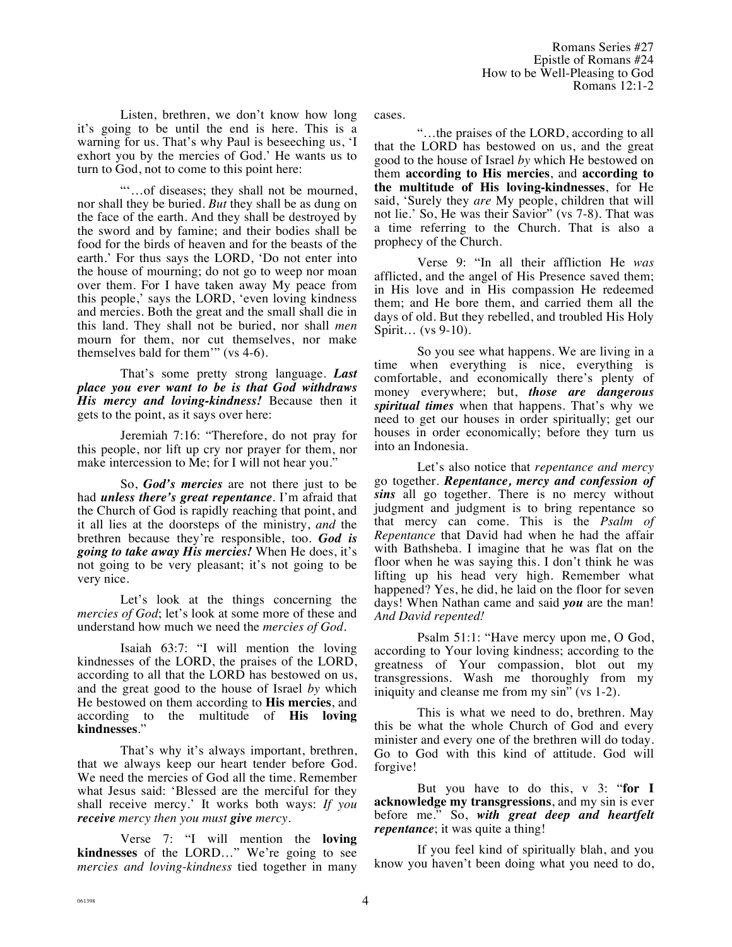Listen, brethren, we don't know how long it's going to be until the end is here. This is a warning for us. That's why Paul is beseeching us, 'I exhort you by the mercies of God.' He wants us to turn to God, not to come to this point here:

"'…of diseases; they shall not be mourned, nor shall they be buried. *But* they shall be as dung on the face of the earth. And they shall be destroyed by the sword and by famine; and their bodies shall be food for the birds of heaven and for the beasts of the earth.' For thus says the LORD, 'Do not enter into the house of mourning; do not go to weep nor moan over them. For I have taken away My peace from this people,' says the LORD, 'even loving kindness and mercies. Both the great and the small shall die in this land. They shall not be buried, nor shall *men* mourn for them, nor cut themselves, nor make themselves bald for them'" (vs 4-6).

That's some pretty strong language. *Last place you ever want to be is that God withdraws His mercy and loving-kindness!* Because then it gets to the point, as it says over here:

Jeremiah 7:16: "Therefore, do not pray for this people, nor lift up cry nor prayer for them, nor make intercession to Me; for I will not hear you."

So, *God's mercies* are not there just to be had *unless there's great repentance.* I'm afraid that the Church of God is rapidly reaching that point, and it all lies at the doorsteps of the ministry, *and* the brethren because they're responsible, too. *God is going to take away His mercies!* When He does, it's not going to be very pleasant; it's not going to be very nice.

Let's look at the things concerning the *mercies of God*; let's look at some more of these and understand how much we need the *mercies of God.*

Isaiah 63:7: "I will mention the loving kindnesses of the LORD, the praises of the LORD, according to all that the LORD has bestowed on us, and the great good to the house of Israel *by* which He bestowed on them according to **His mercies**, and according to the multitude of **His loving kindnesses**."

That's why it's always important, brethren, that we always keep our heart tender before God. We need the mercies of God all the time. Remember what Jesus said: 'Blessed are the merciful for they shall receive mercy.' It works both ways: *If you receive mercy then you must give mercy.*

Verse 7: "I will mention the **loving kindnesses** of the LORD…" We're going to see *mercies and loving-kindness* tied together in many cases.

"…the praises of the LORD, according to all that the LORD has bestowed on us, and the great good to the house of Israel *by* which He bestowed on them **according to His mercies**, and **according to the multitude of His loving-kindnesses**, for He said, 'Surely they *are* My people, children that will not lie.' So, He was their Savior" (vs 7-8). That was a time referring to the Church. That is also a prophecy of the Church.

Verse 9: "In all their affliction He *was* afflicted, and the angel of His Presence saved them; in His love and in His compassion He redeemed them; and He bore them, and carried them all the days of old. But they rebelled, and troubled His Holy Spirit… (vs 9-10).

So you see what happens. We are living in a time when everything is nice, everything is comfortable, and economically there's plenty of money everywhere; but, *those are dangerous spiritual times* when that happens. That's why we need to get our houses in order spiritually; get our houses in order economically; before they turn us into an Indonesia.

Let's also notice that *repentance and mercy* go together. *Repentance, mercy and confession of sins* all go together. There is no mercy without judgment and judgment is to bring repentance so that mercy can come. This is the *Psalm of Repentance* that David had when he had the affair with Bathsheba. I imagine that he was flat on the floor when he was saying this. I don't think he was lifting up his head very high. Remember what happened? Yes, he did, he laid on the floor for seven days! When Nathan came and said *you* are the man! *And David repented!*

Psalm 51:1: "Have mercy upon me, O God, according to Your loving kindness; according to the greatness of Your compassion, blot out my transgressions. Wash me thoroughly from my iniquity and cleanse me from my sin" (vs 1-2).

This is what we need to do, brethren. May this be what the whole Church of God and every minister and every one of the brethren will do today. Go to God with this kind of attitude. God will forgive!

But you have to do this, v 3: "**for I acknowledge my transgressions**, and my sin is ever before me." So, *with great deep and heartfelt repentance*; it was quite a thing!

If you feel kind of spiritually blah, and you know you haven't been doing what you need to do,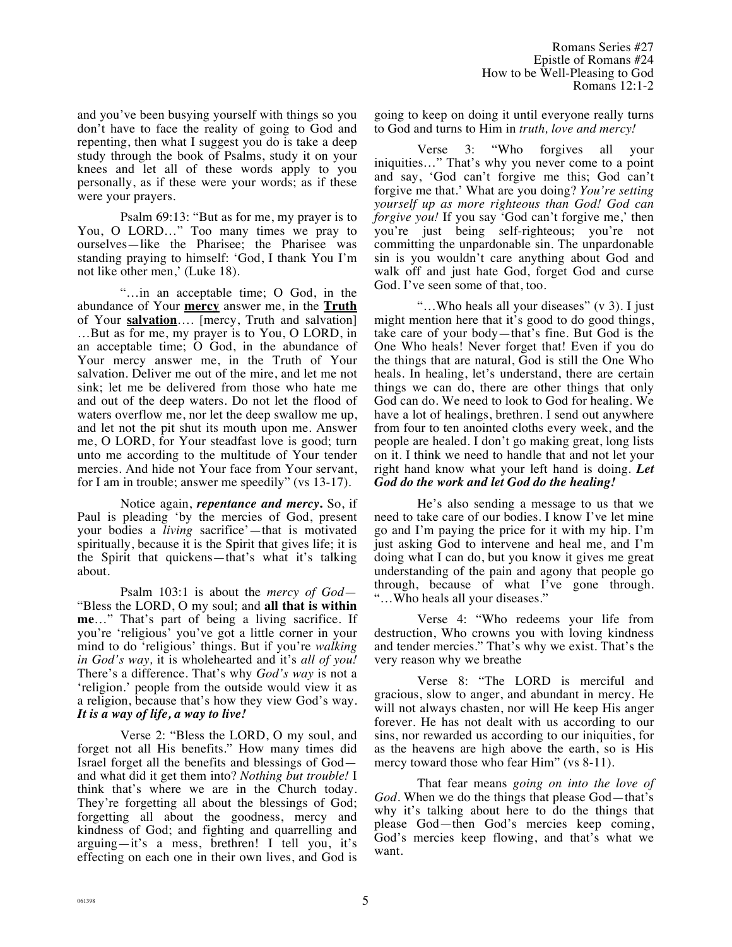and you've been busying yourself with things so you don't have to face the reality of going to God and repenting, then what I suggest you do is take a deep study through the book of Psalms, study it on your knees and let all of these words apply to you personally, as if these were your words; as if these were your prayers.

Psalm 69:13: "But as for me, my prayer is to You, O LORD…" Too many times we pray to ourselves—like the Pharisee; the Pharisee was standing praying to himself: 'God, I thank You I'm not like other men,' (Luke 18).

"…in an acceptable time; O God, in the abundance of Your **mercy** answer me, in the **Truth** of Your **salvation**…. [mercy, Truth and salvation] …But as for me, my prayer is to You, O LORD, in an acceptable time; O God, in the abundance of Your mercy answer me, in the Truth of Your salvation. Deliver me out of the mire, and let me not sink; let me be delivered from those who hate me and out of the deep waters. Do not let the flood of waters overflow me, nor let the deep swallow me up, and let not the pit shut its mouth upon me. Answer me, O LORD, for Your steadfast love is good; turn unto me according to the multitude of Your tender mercies. And hide not Your face from Your servant, for I am in trouble; answer me speedily" (vs 13-17).

Notice again, *repentance and mercy***.** So, if Paul is pleading 'by the mercies of God, present your bodies a *living* sacrifice'—that is motivated spiritually, because it is the Spirit that gives life; it is the Spirit that quickens—that's what it's talking about.

Psalm 103:1 is about the *mercy of God*— "Bless the LORD, O my soul; and **all that is within me**…" That's part of being a living sacrifice. If you're 'religious' you've got a little corner in your mind to do 'religious' things. But if you're *walking in God's way,* it is wholehearted and it's *all of you!* There's a difference. That's why *God's way* is not a 'religion.' people from the outside would view it as a religion, because that's how they view God's way. *It is a way of life, a way to live!* 

Verse 2: "Bless the LORD, O my soul, and forget not all His benefits." How many times did Israel forget all the benefits and blessings of God and what did it get them into? *Nothing but trouble!* I think that's where we are in the Church today. They're forgetting all about the blessings of God; forgetting all about the goodness, mercy and kindness of God; and fighting and quarrelling and arguing—it's a mess, brethren! I tell you, it's effecting on each one in their own lives, and God is going to keep on doing it until everyone really turns to God and turns to Him in *truth, love and mercy!*

Verse 3: "Who forgives all your iniquities…" That's why you never come to a point and say, 'God can't forgive me this; God can't forgive me that.' What are you doing? *You're setting yourself up as more righteous than God! God can forgive you!* If you say 'God can't forgive me,' then you're just being self-righteous; you're not committing the unpardonable sin. The unpardonable sin is you wouldn't care anything about God and walk off and just hate God, forget God and curse God. I've seen some of that, too.

"…Who heals all your diseases" (v 3). I just might mention here that it's good to do good things, take care of your body—that's fine. But God is the One Who heals! Never forget that! Even if you do the things that are natural, God is still the One Who heals. In healing, let's understand, there are certain things we can do, there are other things that only God can do. We need to look to God for healing. We have a lot of healings, brethren. I send out anywhere from four to ten anointed cloths every week, and the people are healed. I don't go making great, long lists on it. I think we need to handle that and not let your right hand know what your left hand is doing. *Let God do the work and let God do the healing!* 

He's also sending a message to us that we need to take care of our bodies. I know I've let mine go and I'm paying the price for it with my hip. I'm just asking God to intervene and heal me, and I'm doing what I can do, but you know it gives me great understanding of the pain and agony that people go through, because of what I've gone through. "…Who heals all your diseases."

Verse 4: "Who redeems your life from destruction, Who crowns you with loving kindness and tender mercies." That's why we exist. That's the very reason why we breathe

Verse 8: "The LORD is merciful and gracious, slow to anger, and abundant in mercy. He will not always chasten, nor will He keep His anger forever. He has not dealt with us according to our sins, nor rewarded us according to our iniquities, for as the heavens are high above the earth, so is His mercy toward those who fear Him" (vs 8-11).

That fear means *going on into the love of God.* When we do the things that please God—that's why it's talking about here to do the things that please God—then God's mercies keep coming, God's mercies keep flowing, and that's what we want.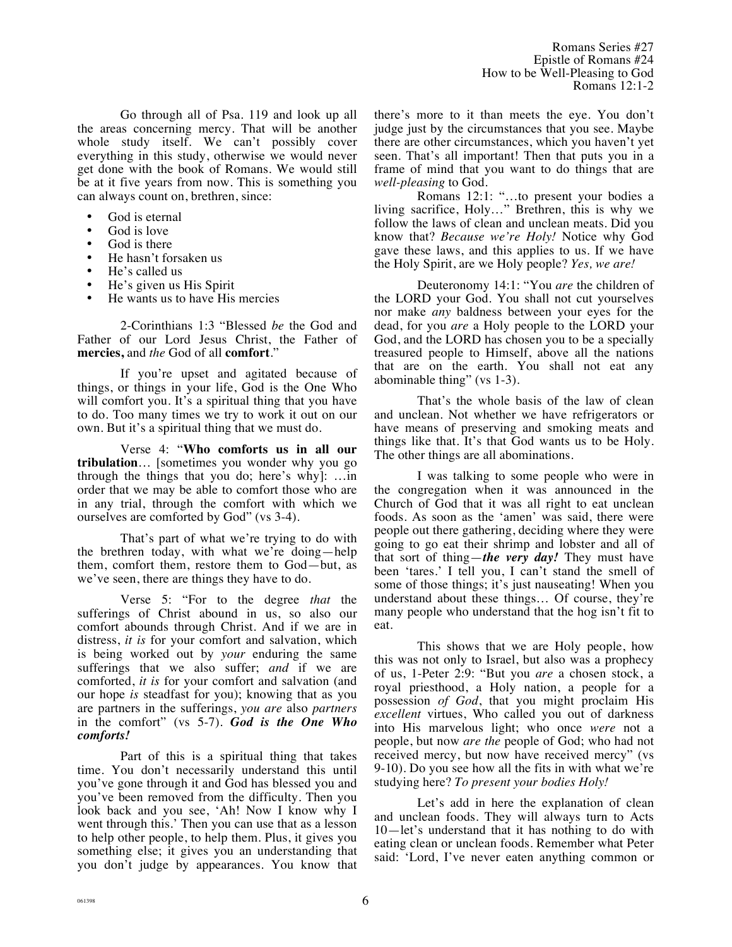Go through all of Psa. 119 and look up all the areas concerning mercy. That will be another whole study itself. We can't possibly cover everything in this study, otherwise we would never get done with the book of Romans. We would still be at it five years from now. This is something you can always count on, brethren, since:

- God is eternal
- God is love
- God is there
- He hasn't forsaken us
- He's called us
- He's given us His Spirit
- He wants us to have His mercies

2-Corinthians 1:3 "Blessed *be* the God and Father of our Lord Jesus Christ, the Father of **mercies,** and *the* God of all **comfort**."

If you're upset and agitated because of things, or things in your life, God is the One Who will comfort you. It's a spiritual thing that you have to do. Too many times we try to work it out on our own. But it's a spiritual thing that we must do.

Verse 4: "**Who comforts us in all our tribulation**… [sometimes you wonder why you go through the things that you do; here's why]: …in order that we may be able to comfort those who are in any trial, through the comfort with which we ourselves are comforted by God" (vs 3-4).

That's part of what we're trying to do with the brethren today, with what we're doing—help them, comfort them, restore them to God—but, as we've seen, there are things they have to do.

Verse 5: "For to the degree *that* the sufferings of Christ abound in us, so also our comfort abounds through Christ. And if we are in distress, *it is* for your comfort and salvation, which is being worked out by *your* enduring the same sufferings that we also suffer; *and* if we are comforted, *it is* for your comfort and salvation (and our hope *is* steadfast for you); knowing that as you are partners in the sufferings, *you are* also *partners* in the comfort" (vs 5-7). *God is the One Who comforts!* 

Part of this is a spiritual thing that takes time. You don't necessarily understand this until you've gone through it and God has blessed you and you've been removed from the difficulty. Then you look back and you see, 'Ah! Now I know why I went through this.' Then you can use that as a lesson to help other people, to help them. Plus, it gives you something else; it gives you an understanding that you don't judge by appearances. You know that there's more to it than meets the eye. You don't judge just by the circumstances that you see. Maybe there are other circumstances, which you haven't yet seen. That's all important! Then that puts you in a frame of mind that you want to do things that are *well-pleasing* to God.

Romans 12:1: "…to present your bodies a living sacrifice, Holy…" Brethren, this is why we follow the laws of clean and unclean meats. Did you know that? *Because we're Holy!* Notice why God gave these laws, and this applies to us. If we have the Holy Spirit, are we Holy people? *Yes, we are!*

Deuteronomy 14:1: "You *are* the children of the LORD your God. You shall not cut yourselves nor make *any* baldness between your eyes for the dead, for you *are* a Holy people to the LORD your God, and the LORD has chosen you to be a specially treasured people to Himself, above all the nations that are on the earth. You shall not eat any abominable thing" (vs 1-3).

That's the whole basis of the law of clean and unclean. Not whether we have refrigerators or have means of preserving and smoking meats and things like that. It's that God wants us to be Holy. The other things are all abominations.

I was talking to some people who were in the congregation when it was announced in the Church of God that it was all right to eat unclean foods. As soon as the 'amen' was said, there were people out there gathering, deciding where they were going to go eat their shrimp and lobster and all of that sort of thing—*the very day!* They must have been 'tares.' I tell you, I can't stand the smell of some of those things; it's just nauseating! When you understand about these things… Of course, they're many people who understand that the hog isn't fit to eat.

This shows that we are Holy people, how this was not only to Israel, but also was a prophecy of us, 1-Peter 2:9: "But you *are* a chosen stock, a royal priesthood, a Holy nation, a people for a possession *of God*, that you might proclaim His *excellent* virtues, Who called you out of darkness into His marvelous light; who once *were* not a people, but now *are the* people of God; who had not received mercy, but now have received mercy" (vs 9-10). Do you see how all the fits in with what we're studying here? *To present your bodies Holy!*

Let's add in here the explanation of clean and unclean foods. They will always turn to Acts 10—let's understand that it has nothing to do with eating clean or unclean foods. Remember what Peter said: 'Lord, I've never eaten anything common or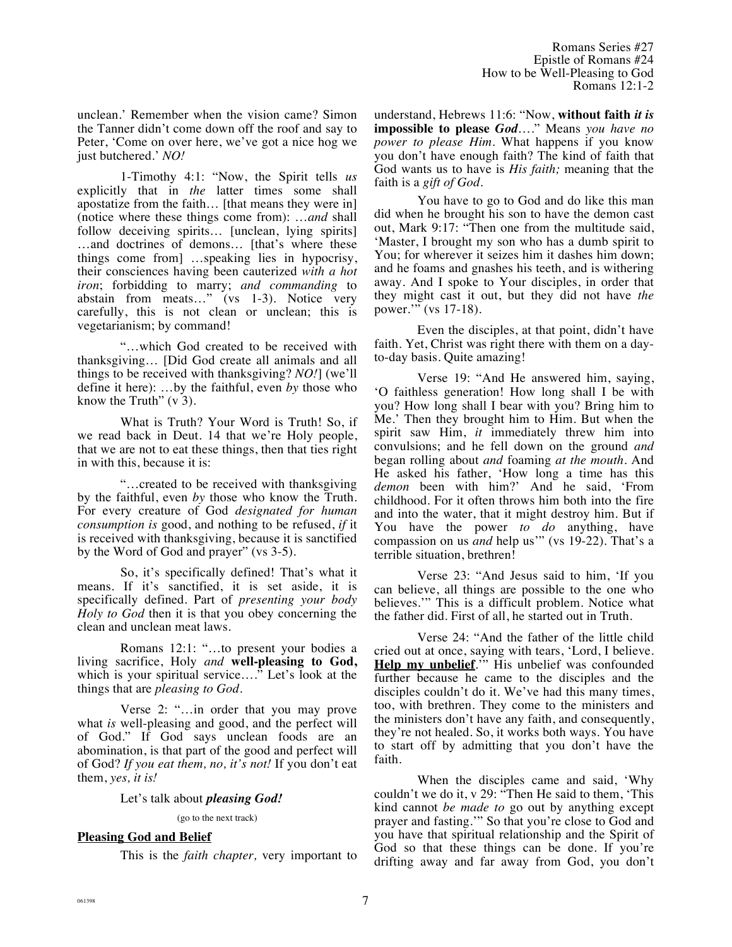unclean.' Remember when the vision came? Simon the Tanner didn't come down off the roof and say to Peter, 'Come on over here, we've got a nice hog we just butchered.' *NO!*

1-Timothy 4:1: "Now, the Spirit tells *us* explicitly that in *the* latter times some shall apostatize from the faith… [that means they were in] (notice where these things come from): …*and* shall follow deceiving spirits... [unclean, lying spirits] …and doctrines of demons… [that's where these things come from] …speaking lies in hypocrisy, their consciences having been cauterized *with a hot iron*; forbidding to marry; *and commanding* to abstain from meats…" (vs 1-3). Notice very carefully, this is not clean or unclean; this is vegetarianism; by command!

"…which God created to be received with thanksgiving… [Did God create all animals and all things to be received with thanksgiving? *NO!*] (we'll define it here): …by the faithful, even *by* those who know the Truth"  $(v 3)$ .

What is Truth? Your Word is Truth! So, if we read back in Deut. 14 that we're Holy people, that we are not to eat these things, then that ties right in with this, because it is:

"…created to be received with thanksgiving by the faithful, even *by* those who know the Truth. For every creature of God *designated for human consumption is* good, and nothing to be refused, *if* it is received with thanksgiving, because it is sanctified by the Word of God and prayer" (vs 3-5).

So, it's specifically defined! That's what it means. If it's sanctified, it is set aside, it is specifically defined. Part of *presenting your body Holy to God* then it is that you obey concerning the clean and unclean meat laws.

Romans 12:1: "…to present your bodies a living sacrifice, Holy *and* **well-pleasing to God,** which is your spiritual service…." Let's look at the things that are *pleasing to God.*

Verse 2: "…in order that you may prove what *is* well-pleasing and good, and the perfect will of God." If God says unclean foods are an abomination, is that part of the good and perfect will of God? *If you eat them, no, it's not!* If you don't eat them, *yes, it is!*

Let's talk about *pleasing God!*

(go to the next track)

# **Pleasing God and Belief**

This is the *faith chapter,* very important to

understand, Hebrews 11:6: "Now, **without faith** *it is* **impossible to please** *God*…." Means *you have no power to please Him*. What happens if you know you don't have enough faith? The kind of faith that God wants us to have is *His faith;* meaning that the faith is a *gift of God.*

You have to go to God and do like this man did when he brought his son to have the demon cast out, Mark 9:17: "Then one from the multitude said, 'Master, I brought my son who has a dumb spirit to You; for wherever it seizes him it dashes him down; and he foams and gnashes his teeth, and is withering away. And I spoke to Your disciples, in order that they might cast it out, but they did not have *the* power." (vs 17-18).

Even the disciples, at that point, didn't have faith. Yet, Christ was right there with them on a dayto-day basis. Quite amazing!

Verse 19: "And He answered him, saying, 'O faithless generation! How long shall I be with you? How long shall I bear with you? Bring him to Me.' Then they brought him to Him. But when the spirit saw Him, *it* immediately threw him into convulsions; and he fell down on the ground *and* began rolling about *and* foaming *at the mouth*. And He asked his father, 'How long a time has this *demon* been with him?' And he said, 'From childhood. For it often throws him both into the fire and into the water, that it might destroy him. But if You have the power *to do* anything, have compassion on us *and* help us'" (vs 19-22). That's a terrible situation, brethren!

Verse 23: "And Jesus said to him, 'If you can believe, all things are possible to the one who believes.'" This is a difficult problem. Notice what the father did. First of all, he started out in Truth.

Verse 24: "And the father of the little child cried out at once, saying with tears, 'Lord, I believe. **Help my unbelief.**" His unbelief was confounded further because he came to the disciples and the disciples couldn't do it. We've had this many times, too, with brethren. They come to the ministers and the ministers don't have any faith, and consequently, they're not healed. So, it works both ways. You have to start off by admitting that you don't have the faith.

When the disciples came and said, 'Why couldn't we do it, v 29: "Then He said to them, 'This kind cannot *be made to* go out by anything except prayer and fasting.'" So that you're close to God and you have that spiritual relationship and the Spirit of God so that these things can be done. If you're drifting away and far away from God, you don't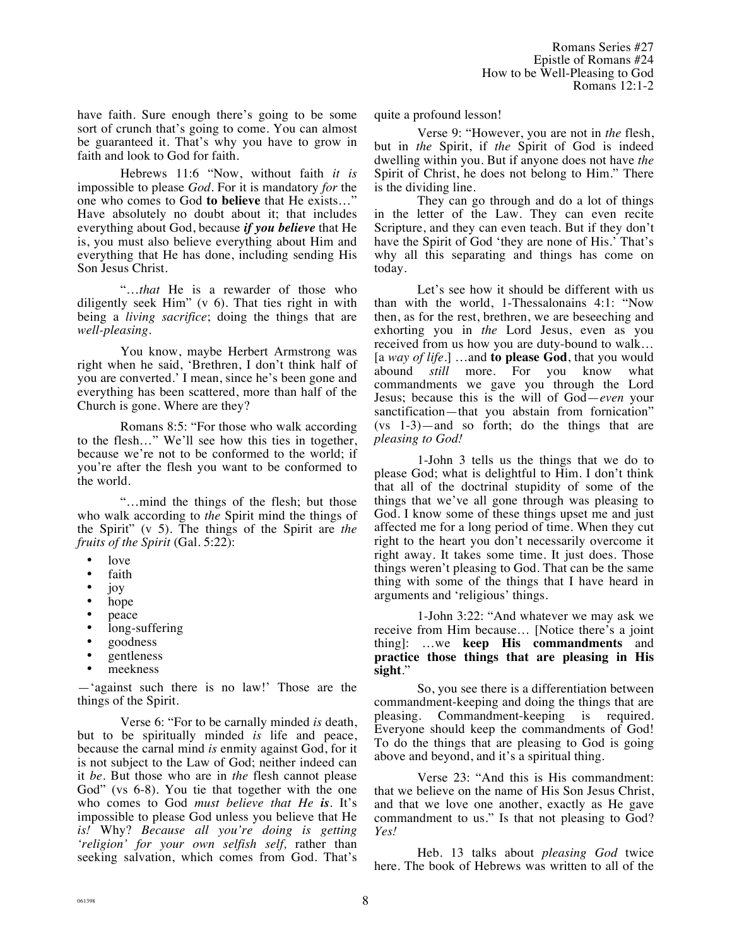have faith. Sure enough there's going to be some sort of crunch that's going to come. You can almost be guaranteed it. That's why you have to grow in faith and look to God for faith.

Hebrews 11:6 "Now, without faith *it is* impossible to please *God*. For it is mandatory *for* the one who comes to God **to believe** that He exists…" Have absolutely no doubt about it; that includes everything about God, because *if you believe* that He is, you must also believe everything about Him and everything that He has done, including sending His Son Jesus Christ.

"…*that* He is a rewarder of those who diligently seek Him" (v 6). That ties right in with being a *living sacrifice*; doing the things that are *well-pleasing*.

You know, maybe Herbert Armstrong was right when he said, 'Brethren, I don't think half of you are converted.' I mean, since he's been gone and everything has been scattered, more than half of the Church is gone. Where are they?

Romans 8:5: "For those who walk according to the flesh…" We'll see how this ties in together, because we're not to be conformed to the world; if you're after the flesh you want to be conformed to the world.

"…mind the things of the flesh; but those who walk according to *the* Spirit mind the things of the Spirit" (v 5). The things of the Spirit are *the fruits of the Spirit* (Gal. 5:22):

- love
- faith
- joy
- hope
- peace<br>•  $\log_{10}$
- long-suffering<br>• soodness
- goodness
- gentleness
- meekness

—'against such there is no law!' Those are the things of the Spirit.

Verse 6: "For to be carnally minded *is* death, but to be spiritually minded *is* life and peace, because the carnal mind *is* enmity against God, for it is not subject to the Law of God; neither indeed can it *be*. But those who are in *the* flesh cannot please God" (vs 6-8). You tie that together with the one who comes to God *must believe that He is.* It's impossible to please God unless you believe that He *is!* Why? *Because all you're doing is getting 'religion' for your own selfish self,* rather than seeking salvation, which comes from God. That's

quite a profound lesson!

Verse 9: "However, you are not in *the* flesh, but in *the* Spirit, if *the* Spirit of God is indeed dwelling within you. But if anyone does not have *the* Spirit of Christ, he does not belong to Him." There is the dividing line.

They can go through and do a lot of things in the letter of the Law. They can even recite Scripture, and they can even teach. But if they don't have the Spirit of God 'they are none of His.' That's why all this separating and things has come on today.

Let's see how it should be different with us than with the world, 1-Thessalonains 4:1: "Now then, as for the rest, brethren, we are beseeching and exhorting you in *the* Lord Jesus, even as you received from us how you are duty-bound to walk… [a *way of life*.] …and **to please God**, that you would abound *still* more. For you know what commandments we gave you through the Lord Jesus; because this is the will of God—*even* your sanctification—that you abstain from fornication" (vs 1-3)—and so forth; do the things that are *pleasing to God!*

1-John 3 tells us the things that we do to please God; what is delightful to Him. I don't think that all of the doctrinal stupidity of some of the things that we've all gone through was pleasing to God. I know some of these things upset me and just affected me for a long period of time. When they cut right to the heart you don't necessarily overcome it right away. It takes some time. It just does. Those things weren't pleasing to God. That can be the same thing with some of the things that I have heard in arguments and 'religious' things.

1-John 3:22: "And whatever we may ask we receive from Him because… [Notice there's a joint thing]: …we **keep His commandments** and **practice those things that are pleasing in His sight**."

So, you see there is a differentiation between commandment-keeping and doing the things that are pleasing. Commandment-keeping is required. Everyone should keep the commandments of God! To do the things that are pleasing to God is going above and beyond, and it's a spiritual thing.

Verse 23: "And this is His commandment: that we believe on the name of His Son Jesus Christ, and that we love one another, exactly as He gave commandment to us." Is that not pleasing to God? *Yes!*

Heb. 13 talks about *pleasing God* twice here. The book of Hebrews was written to all of the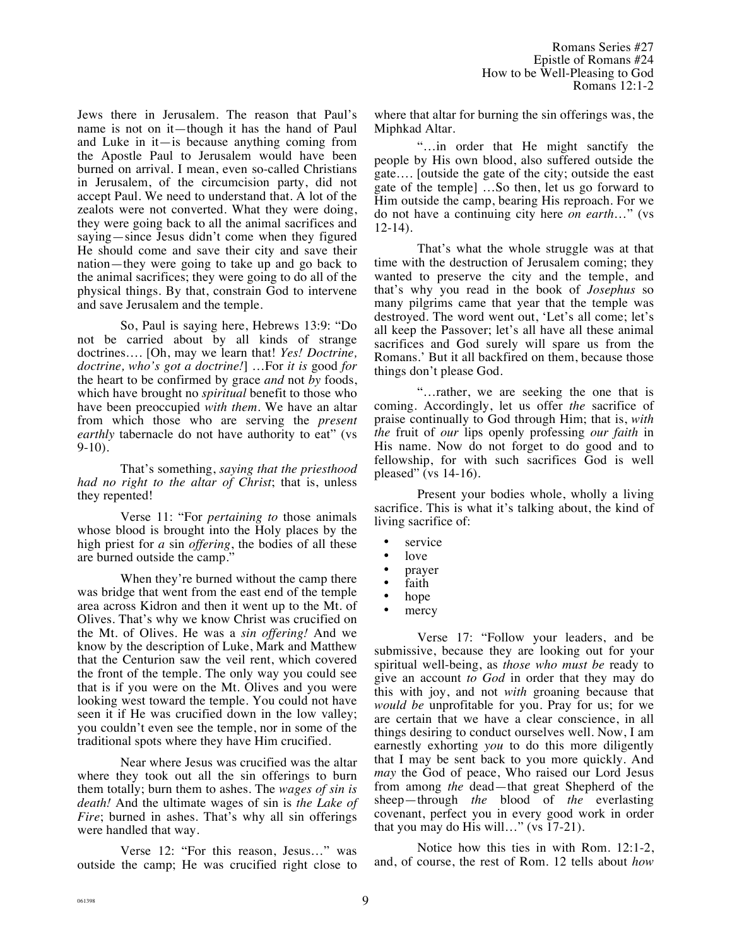Jews there in Jerusalem. The reason that Paul's name is not on it—though it has the hand of Paul and Luke in it—is because anything coming from the Apostle Paul to Jerusalem would have been burned on arrival. I mean, even so-called Christians in Jerusalem, of the circumcision party, did not accept Paul. We need to understand that. A lot of the zealots were not converted. What they were doing, they were going back to all the animal sacrifices and saying—since Jesus didn't come when they figured He should come and save their city and save their nation—they were going to take up and go back to the animal sacrifices; they were going to do all of the physical things. By that, constrain God to intervene and save Jerusalem and the temple.

So, Paul is saying here, Hebrews 13:9: "Do not be carried about by all kinds of strange doctrines…. [Oh, may we learn that! *Yes! Doctrine, doctrine, who's got a doctrine!*] …For *it is* good *for* the heart to be confirmed by grace *and* not *by* foods, which have brought no *spiritual* benefit to those who have been preoccupied *with them*. We have an altar from which those who are serving the *present earthly* tabernacle do not have authority to eat" (vs 9-10).

That's something, *saying that the priesthood had no right to the altar of Christ*; that is, unless they repented!

Verse 11: "For *pertaining to* those animals whose blood is brought into the Holy places by the high priest for *a* sin *offering*, the bodies of all these are burned outside the camp."

When they're burned without the camp there was bridge that went from the east end of the temple area across Kidron and then it went up to the Mt. of Olives. That's why we know Christ was crucified on the Mt. of Olives. He was a *sin offering!* And we know by the description of Luke, Mark and Matthew that the Centurion saw the veil rent, which covered the front of the temple. The only way you could see that is if you were on the Mt. Olives and you were looking west toward the temple. You could not have seen it if He was crucified down in the low valley; you couldn't even see the temple, nor in some of the traditional spots where they have Him crucified.

Near where Jesus was crucified was the altar where they took out all the sin offerings to burn them totally; burn them to ashes. The *wages of sin is death!* And the ultimate wages of sin is *the Lake of Fire*; burned in ashes. That's why all sin offerings were handled that way.

Verse 12: "For this reason, Jesus…" was outside the camp; He was crucified right close to where that altar for burning the sin offerings was, the Miphkad Altar.

"…in order that He might sanctify the people by His own blood, also suffered outside the gate…. [outside the gate of the city; outside the east gate of the temple] …So then, let us go forward to Him outside the camp, bearing His reproach. For we do not have a continuing city here *on earth*…" (vs 12-14).

That's what the whole struggle was at that time with the destruction of Jerusalem coming; they wanted to preserve the city and the temple, and that's why you read in the book of *Josephus* so many pilgrims came that year that the temple was destroyed. The word went out, 'Let's all come; let's all keep the Passover; let's all have all these animal sacrifices and God surely will spare us from the Romans.' But it all backfired on them, because those things don't please God.

"…rather, we are seeking the one that is coming. Accordingly, let us offer *the* sacrifice of praise continually to God through Him; that is, *with the* fruit of *our* lips openly professing *our faith* in His name. Now do not forget to do good and to fellowship, for with such sacrifices God is well pleased" (vs 14-16).

Present your bodies whole, wholly a living sacrifice. This is what it's talking about, the kind of living sacrifice of:

- service
- love
- prayer<br>• faith
- faith<br>• hope
- hope
- mercy

Verse 17: "Follow your leaders, and be submissive, because they are looking out for your spiritual well-being, as *those who must be* ready to give an account *to God* in order that they may do this with joy, and not *with* groaning because that *would be* unprofitable for you. Pray for us; for we are certain that we have a clear conscience, in all things desiring to conduct ourselves well. Now, I am earnestly exhorting *you* to do this more diligently that I may be sent back to you more quickly. And *may* the God of peace, Who raised our Lord Jesus from among *the* dead—that great Shepherd of the sheep—through *the* blood of *the* everlasting covenant, perfect you in every good work in order that you may do His will…" (vs 17-21).

Notice how this ties in with Rom. 12:1-2, and, of course, the rest of Rom. 12 tells about *how*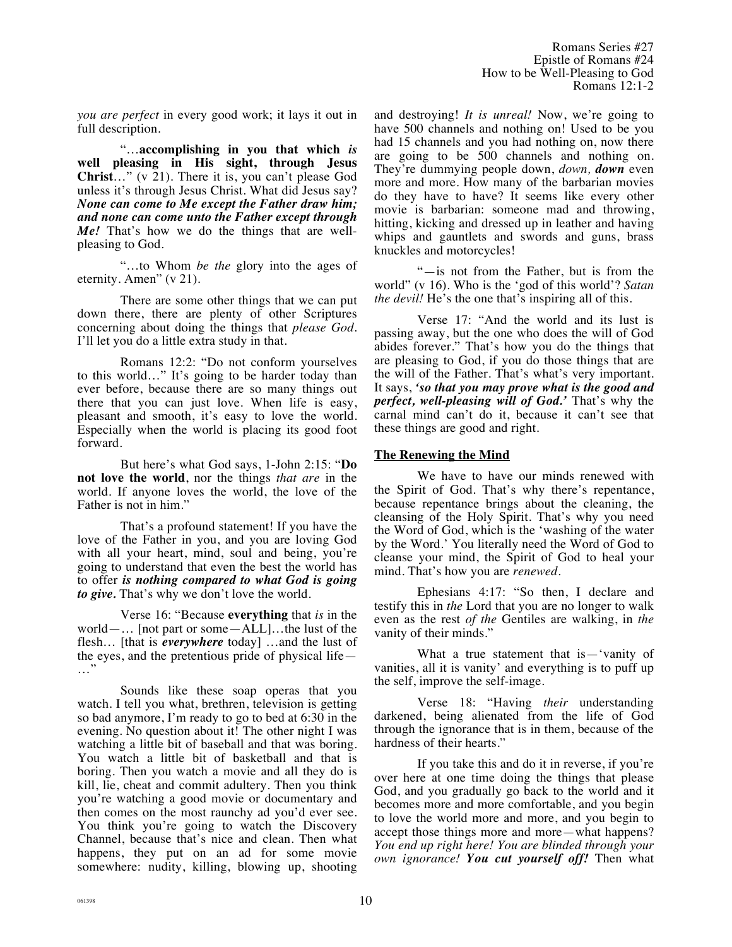Romans Series #27 Epistle of Romans #24 How to be Well-Pleasing to God Romans 12:1-2

*you are perfect* in every good work; it lays it out in full description.

"…**accomplishing in you that which** *is* **well pleasing in His sight, through Jesus**  Christ..." (v 21). There it is, you can't please God unless it's through Jesus Christ. What did Jesus say? *None can come to Me except the Father draw him; and none can come unto the Father except through Me!* That's how we do the things that are wellpleasing to God.

"…to Whom *be the* glory into the ages of eternity. Amen" (v 21).

There are some other things that we can put down there, there are plenty of other Scriptures concerning about doing the things that *please God*. I'll let you do a little extra study in that.

Romans 12:2: "Do not conform yourselves to this world…" It's going to be harder today than ever before, because there are so many things out there that you can just love. When life is easy, pleasant and smooth, it's easy to love the world. Especially when the world is placing its good foot forward.

But here's what God says, 1-John 2:15: "**Do not love the world**, nor the things *that are* in the world. If anyone loves the world, the love of the Father is not in him."

That's a profound statement! If you have the love of the Father in you, and you are loving God with all your heart, mind, soul and being, you're going to understand that even the best the world has to offer *is nothing compared to what God is going to give.* That's why we don't love the world.

Verse 16: "Because **everything** that *is* in the world—… [not part or some—ALL]…the lust of the flesh… [that is *everywhere* today] …and the lust of the eyes, and the pretentious pride of physical life— …"

Sounds like these soap operas that you watch. I tell you what, brethren, television is getting so bad anymore, I'm ready to go to bed at 6:30 in the evening. No question about it! The other night I was watching a little bit of baseball and that was boring. You watch a little bit of basketball and that is boring. Then you watch a movie and all they do is kill, lie, cheat and commit adultery. Then you think you're watching a good movie or documentary and then comes on the most raunchy ad you'd ever see. You think you're going to watch the Discovery Channel, because that's nice and clean. Then what happens, they put on an ad for some movie somewhere: nudity, killing, blowing up, shooting and destroying! *It is unreal!* Now, we're going to have 500 channels and nothing on! Used to be you had 15 channels and you had nothing on, now there are going to be 500 channels and nothing on. They're dummying people down, *down, down* even more and more. How many of the barbarian movies do they have to have? It seems like every other movie is barbarian: someone mad and throwing, hitting, kicking and dressed up in leather and having whips and gauntlets and swords and guns, brass knuckles and motorcycles!

"—is not from the Father, but is from the world" (v 16). Who is the 'god of this world'? *Satan the devil!* He's the one that's inspiring all of this.

Verse 17: "And the world and its lust is passing away, but the one who does the will of God abides forever." That's how you do the things that are pleasing to God, if you do those things that are the will of the Father. That's what's very important. It says, *'so that you may prove what is the good and perfect, well-pleasing will of God.'* That's why the carnal mind can't do it, because it can't see that these things are good and right.

# **The Renewing the Mind**

We have to have our minds renewed with the Spirit of God. That's why there's repentance, because repentance brings about the cleaning, the cleansing of the Holy Spirit. That's why you need the Word of God, which is the 'washing of the water by the Word.' You literally need the Word of God to cleanse your mind, the Spirit of God to heal your mind. That's how you are *renewed*.

Ephesians 4:17: "So then, I declare and testify this in *the* Lord that you are no longer to walk even as the rest *of the* Gentiles are walking, in *the* vanity of their minds."

What a true statement that is—'vanity of vanities, all it is vanity' and everything is to puff up the self, improve the self-image.

Verse 18: "Having *their* understanding darkened, being alienated from the life of God through the ignorance that is in them, because of the hardness of their hearts."

If you take this and do it in reverse, if you're over here at one time doing the things that please God, and you gradually go back to the world and it becomes more and more comfortable, and you begin to love the world more and more, and you begin to accept those things more and more—what happens? *You end up right here! You are blinded through your own ignorance! You cut yourself off!* Then what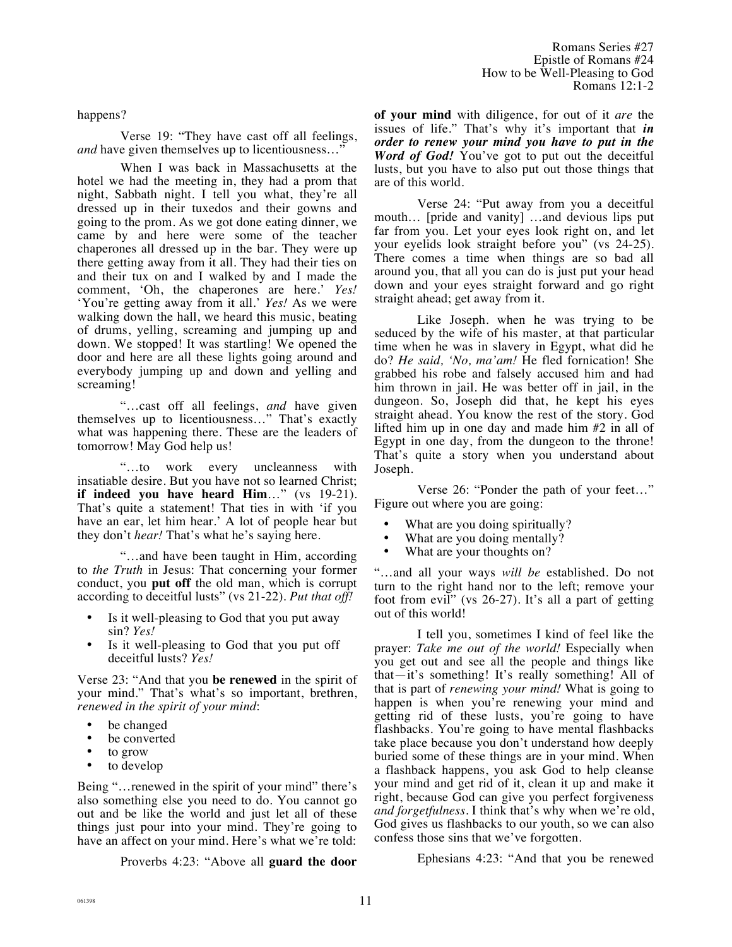happens?

Verse 19: "They have cast off all feelings, *and* have given themselves up to licentiousness..."

When I was back in Massachusetts at the hotel we had the meeting in, they had a prom that night, Sabbath night. I tell you what, they're all dressed up in their tuxedos and their gowns and going to the prom. As we got done eating dinner, we came by and here were some of the teacher chaperones all dressed up in the bar. They were up there getting away from it all. They had their ties on and their tux on and I walked by and I made the comment, 'Oh, the chaperones are here.' *Yes!* 'You're getting away from it all.' *Yes!* As we were walking down the hall, we heard this music, beating of drums, yelling, screaming and jumping up and down. We stopped! It was startling! We opened the door and here are all these lights going around and everybody jumping up and down and yelling and screaming!

"…cast off all feelings, *and* have given themselves up to licentiousness…" That's exactly what was happening there. These are the leaders of tomorrow! May God help us!

"…to work every uncleanness with insatiable desire. But you have not so learned Christ; **if indeed you have heard Him**…" (vs 19-21). That's quite a statement! That ties in with 'if you have an ear, let him hear.' A lot of people hear but they don't *hear!* That's what he's saying here.

"…and have been taught in Him, according to *the Truth* in Jesus: That concerning your former conduct, you **put off** the old man, which is corrupt according to deceitful lusts" (vs 21-22). *Put that off!*

- Is it well-pleasing to God that you put away sin? *Yes!*
- Is it well-pleasing to God that you put off deceitful lusts? *Yes!*

Verse 23: "And that you **be renewed** in the spirit of your mind." That's what's so important, brethren, *renewed in the spirit of your mind*:

- be changed<br>• be converted
- be converted
- to grow<br>• to devel
- to develop

Being "…renewed in the spirit of your mind" there's also something else you need to do. You cannot go out and be like the world and just let all of these things just pour into your mind. They're going to have an affect on your mind. Here's what we're told:

Proverbs 4:23: "Above all **guard the door** 

**of your mind** with diligence, for out of it *are* the issues of life." That's why it's important that *in order to renew your mind you have to put in the Word of God!* You've got to put out the deceitful lusts, but you have to also put out those things that are of this world.

Verse 24: "Put away from you a deceitful mouth… [pride and vanity] …and devious lips put far from you. Let your eyes look right on, and let your eyelids look straight before you" (vs 24-25). There comes a time when things are so bad all around you, that all you can do is just put your head down and your eyes straight forward and go right straight ahead; get away from it.

Like Joseph. when he was trying to be seduced by the wife of his master, at that particular time when he was in slavery in Egypt, what did he do? *He said, 'No, ma'am!* He fled fornication! She grabbed his robe and falsely accused him and had him thrown in jail. He was better off in jail, in the dungeon. So, Joseph did that, he kept his eyes straight ahead. You know the rest of the story. God lifted him up in one day and made him #2 in all of Egypt in one day, from the dungeon to the throne! That's quite a story when you understand about Joseph.

Verse 26: "Ponder the path of your feet…" Figure out where you are going:

- What are you doing spiritually?<br>• What are you doing mentally?
- What are you doing mentally?
- What are your thoughts on?

"…and all your ways *will be* established. Do not turn to the right hand nor to the left; remove your foot from evil" (vs 26-27). It's all a part of getting out of this world!

I tell you, sometimes I kind of feel like the prayer: *Take me out of the world!* Especially when you get out and see all the people and things like that—it's something! It's really something! All of that is part of *renewing your mind!* What is going to happen is when you're renewing your mind and getting rid of these lusts, you're going to have flashbacks. You're going to have mental flashbacks take place because you don't understand how deeply buried some of these things are in your mind. When a flashback happens, you ask God to help cleanse your mind and get rid of it, clean it up and make it right, because God can give you perfect forgiveness *and forgetfulness*. I think that's why when we're old, God gives us flashbacks to our youth, so we can also confess those sins that we've forgotten.

Ephesians 4:23: "And that you be renewed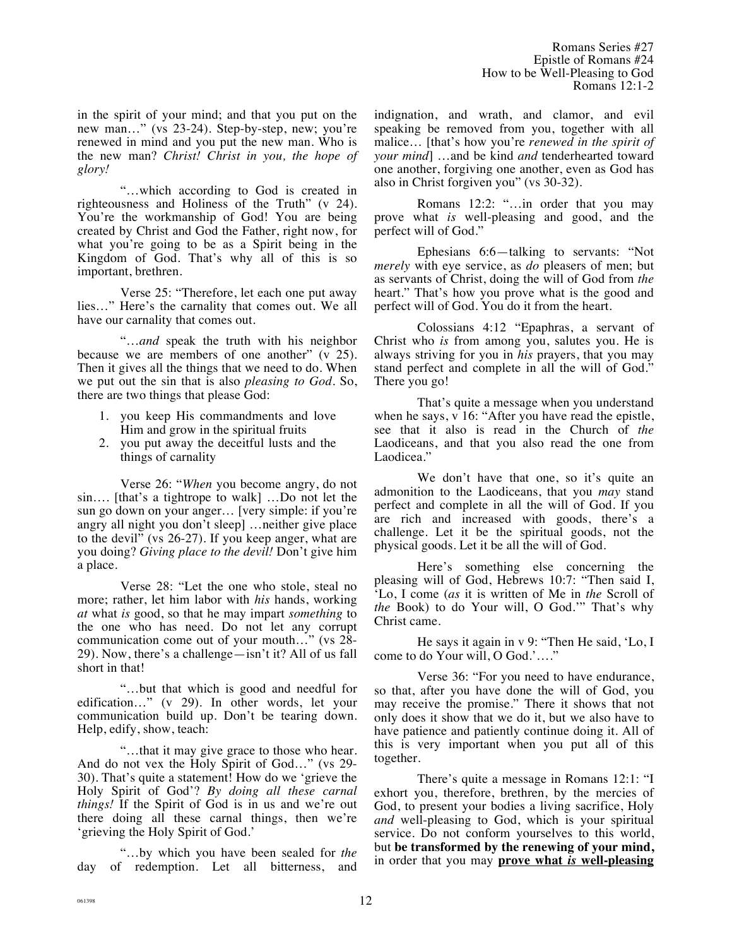Romans Series #27 Epistle of Romans #24 How to be Well-Pleasing to God Romans 12:1-2

in the spirit of your mind; and that you put on the new man…" (vs 23-24). Step-by-step, new; you're renewed in mind and you put the new man. Who is the new man? *Christ! Christ in you, the hope of glory!*

"…which according to God is created in righteousness and Holiness of the Truth" (v 24). You're the workmanship of God! You are being created by Christ and God the Father, right now, for what you're going to be as a Spirit being in the Kingdom of God. That's why all of this is so important, brethren.

Verse 25: "Therefore, let each one put away lies…" Here's the carnality that comes out. We all have our carnality that comes out.

"…*and* speak the truth with his neighbor because we are members of one another" (v 25). Then it gives all the things that we need to do. When we put out the sin that is also *pleasing to God*. So, there are two things that please God:

- 1. you keep His commandments and love Him and grow in the spiritual fruits
- 2. you put away the deceitful lusts and the things of carnality

Verse 26: "*When* you become angry, do not sin…. [that's a tightrope to walk] …Do not let the sun go down on your anger… [very simple: if you're angry all night you don't sleep] …neither give place to the devil" (vs 26-27). If you keep anger, what are you doing? *Giving place to the devil!* Don't give him a place.

Verse 28: "Let the one who stole, steal no more; rather, let him labor with *his* hands, working *at* what *is* good, so that he may impart *something* to the one who has need. Do not let any corrupt communication come out of your mouth…" (vs 28- 29). Now, there's a challenge—isn't it? All of us fall short in that!

"…but that which is good and needful for edification…" (v 29). In other words, let your communication build up. Don't be tearing down. Help, edify, show, teach:

"…that it may give grace to those who hear. And do not vex the Holy Spirit of God…" (vs 29- 30). That's quite a statement! How do we 'grieve the Holy Spirit of God'? *By doing all these carnal things!* If the Spirit of God is in us and we're out there doing all these carnal things, then we're 'grieving the Holy Spirit of God.'

"…by which you have been sealed for *the* day of redemption. Let all bitterness, and indignation, and wrath, and clamor, and evil speaking be removed from you, together with all malice… [that's how you're *renewed in the spirit of your mind*] …and be kind *and* tenderhearted toward one another, forgiving one another, even as God has also in Christ forgiven you" (vs 30-32).

Romans 12:2: "…in order that you may prove what *is* well-pleasing and good, and the perfect will of God."

Ephesians 6:6—talking to servants: "Not *merely* with eye service, as *do* pleasers of men; but as servants of Christ, doing the will of God from *the* heart." That's how you prove what is the good and perfect will of God. You do it from the heart.

Colossians 4:12 "Epaphras, a servant of Christ who *is* from among you, salutes you. He is always striving for you in *his* prayers, that you may stand perfect and complete in all the will of God." There you go!

That's quite a message when you understand when he says, v 16: "After you have read the epistle, see that it also is read in the Church of *the* Laodiceans, and that you also read the one from Laodicea."

We don't have that one, so it's quite an admonition to the Laodiceans, that you *may* stand perfect and complete in all the will of God. If you are rich and increased with goods, there's a challenge. Let it be the spiritual goods, not the physical goods. Let it be all the will of God.

Here's something else concerning the pleasing will of God, Hebrews 10:7: "Then said I, 'Lo, I come (*as* it is written of Me in *the* Scroll of *the* Book) to do Your will, O God.'" That's why Christ came.

He says it again in v 9: "Then He said, 'Lo, I come to do Your will, O God.'…."

Verse 36: "For you need to have endurance, so that, after you have done the will of God, you may receive the promise." There it shows that not only does it show that we do it, but we also have to have patience and patiently continue doing it. All of this is very important when you put all of this together.

There's quite a message in Romans 12:1: "I exhort you, therefore, brethren, by the mercies of God, to present your bodies a living sacrifice, Holy *and* well-pleasing to God, which is your spiritual service. Do not conform yourselves to this world, but **be transformed by the renewing of your mind,** in order that you may **prove what** *is* **well-pleasing**